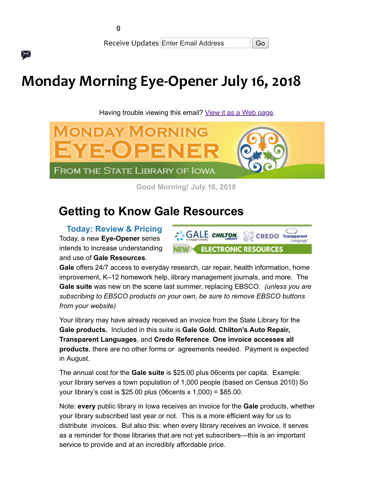X

Receive Updates Enter Email Address | Go

# **Monday Morning Eye-Opener July 16, 2018**

Having trouble viewing this email? [View it as a Web page.](https://content.govdelivery.com/accounts/IACIO/bulletins/1fef37e)



**Good Morning! July 16, 2018** 

# **Getting to Know Gale Resources**

**Today: Review & Pricing** Today, a new **Eye-Opener** series intends to increase understanding and use of **Gale Resources**.



**Gale** offers 24/7 access to everyday research, car repair, health information, home improvement, K–12 homework help, library management journals, and more. The **Gale suite** was new on the scene last summer, replacing EBSCO. *(unless you are subscribing to EBSCO products on your own, be sure to remove EBSCO buttons from your website)*

Your library may have already received an invoice from the State Library for the **Gale products.** Included in this suite is **Gale Gold**, **Chilton's Auto Repair, Transparent Languages**, and **Credo Reference**. **One invoice accesses all products**, there are no other forms or agreements needed. Payment is expected in August.

The annual cost for the **Gale suite** is \$25.00 plus 06cents per capita. Example: your library serves a town population of 1,000 people (based on Census 2010) So your library's cost is \$25.00 plus (06cents x 1,000) = \$85.00.

Note: **every** public library in Iowa receives an invoice for the **Gale** products, whether your library subscribed last year or not. This is a more efficient way for us to distribute invoices. But also this: when every library receives an invoice, it serves as a reminder for those libraries that are not yet subscribers—this is an important service to provide and at an incredibly affordable price.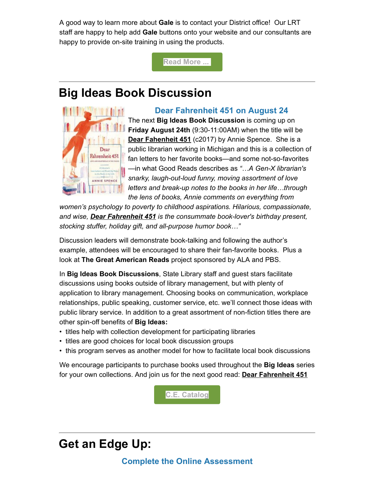A good way to learn more about **Gale** is to contact your District office! Our LRT staff are happy to help add **Gale** buttons onto your website and our consultants are happy to provide on-site training in using the products.

**[Read More ...](http://www.statelibraryofiowa.org/ld/c-d/databases?utm_medium=email&utm_source=govdelivery)** 

## **Big Ideas Book Discussion**



#### **Dear Fahrenheit 451 on August 24**

The next **Big Ideas Book Discussion** is coming up on **Friday August 24th** (9:30-11:00AM) when the title will be **Dear Fahenheit 451** (c2017) by Annie Spence. She is a public librarian working in Michigan and this is a collection of fan letters to her favorite books—and some not-so-favorites —in what Good Reads describes as *"…A Gen-X librarian's snarky, laugh-out-loud funny, moving assortment of love letters and break-up notes to the books in her life…through the lens of books, Annie comments on everything from*

*women's psychology to poverty to childhood aspirations. Hilarious, compassionate, and wise, Dear Fahrenheit 451 is the consummate book-lover's birthday present, stocking stuffer, holiday gift, and all-purpose humor book…"*

Discussion leaders will demonstrate book-talking and following the author's example, attendees will be encouraged to share their fan-favorite books. Plus a look at **The Great American Reads** project sponsored by ALA and PBS.

In **Big Ideas Book Discussions**, State Library staff and guest stars facilitate discussions using books outside of library management, but with plenty of application to library management. Choosing books on communication, workplace relationships, public speaking, customer service, etc. we'll connect those ideas with public library service. In addition to a great assortment of non-fiction titles there are other spin-off benefits of **Big Ideas:**

- titles help with collection development for participating libraries
- titles are good choices for local book discussion groups
- this program serves as another model for how to facilitate local book discussions

We encourage participants to purchase books used throughout the **Big Ideas** series for your own collections. And join us for the next good read: **Dear Fahrenheit 451**

**[C.E. Catalog](https://statelibraryofiowa.lmscheckout.com/Course/index?utm_medium=email&utm_source=govdelivery)**

## **Get an Edge Up:**

#### **Complete the Online Assessment**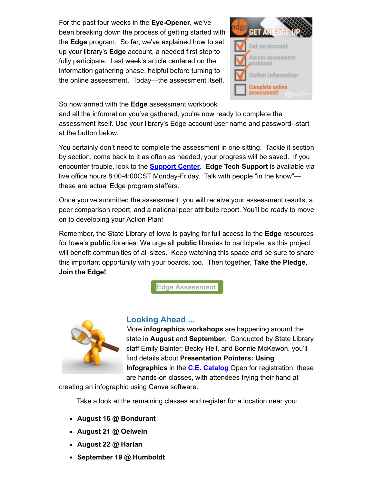For the past four weeks in the **Eye-Opener**, we've been breaking down the process of getting started with the **Edge** program. So far, we've explained how to set up your library's **Edge** account, a needed first step to fully participate. Last week's article centered on the information gathering phase, helpful before turning to the online assessment. Today—the assessment itself.



So now armed with the **Edge** assessment workbook

and all the information you've gathered, you're now ready to complete the assessment itself. Use your library's Edge account user name and password--start at the button below.

You certainly don't need to complete the assessment in one sitting. Tackle it section by section, come back to it as often as needed, your progress will be saved. If you encounter trouble, look to the **[Support Center.](https://support.libraryedge.org/support/home?utm_medium=email&utm_source=govdelivery) Edge Tech Support** is available via live office hours 8:00-4:00CST Monday-Friday. Talk with people "in the know" these are actual Edge program staffers.

Once you've submitted the assessment, you will receive your assessment results, a peer comparison report, and a national peer attribute report. You'll be ready to move on to developing your Action Plan!

Remember, the State Library of Iowa is paying for full access to the **Edge** resources for Iowa's **public** libraries. We urge all **public** libraries to participate, as this project will benefit communities of all sizes. Keep watching this space and be sure to share this important opportunity with your boards, too. Then together, **Take the Pledge, Join the Edge!** 

**[Edge Assessment](http://www.libraryedge.org/user/login?current=home&utm_medium=email&utm_source=govdelivery)** 



#### **Looking Ahead ...**

More **infographics workshops** are happening around the state in **August** and **September**. Conducted by State Library staff Emily Bainter, Becky Heil, and Bonnie McKewon, you'll find details about **Presentation Pointers: Using Infographics** in the **[C.E. Catalog](https://statelibraryofiowa.lmscheckout.com/Course/index?utm_medium=email&utm_source=govdelivery)** Open for registration, these are hands-on classes, with attendees trying their hand at

creating an infographic using Canva software.

Take a look at the remaining classes and register for a location near you:

- **August 16 @ Bondurant**
- **August 21 @ Oelwein**
- **August 22 @ Harlan**
- **September 19 @ Humboldt**